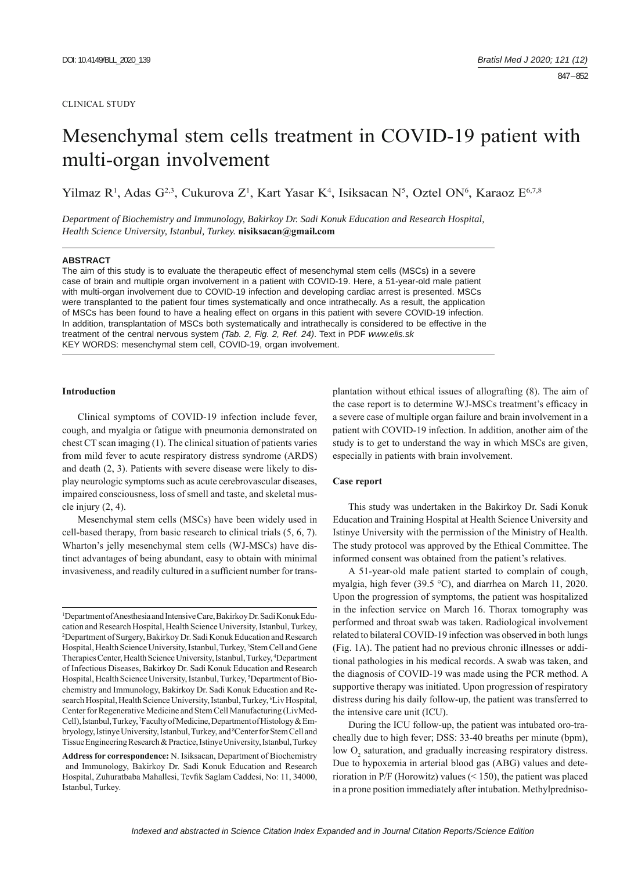### CLINICAL STUDY

# Mesenchymal stem cells treatment in COVID-19 patient with multi-organ involvement

Yilmaz R<sup>1</sup>, Adas G<sup>2,3</sup>, Cukurova Z<sup>1</sup>, Kart Yasar K<sup>4</sup>, Isiksacan N<sup>5</sup>, Oztel ON<sup>6</sup>, Karaoz E<sup>6,7,8</sup>

*Department of Biochemistry and Immunology, Bakirkoy Dr. Sadi Konuk Education and Research Hospital, Health Science University, Istanbul, Turkey.* **nisiksacan@gmail.com**

### **ABSTRACT**

The aim of this study is to evaluate the therapeutic effect of mesenchymal stem cells (MSCs) in a severe case of brain and multiple organ involvement in a patient with COVID-19. Here, a 51-year-old male patient with multi-organ involvement due to COVID-19 infection and developing cardiac arrest is presented. MSCs were transplanted to the patient four times systematically and once intrathecally. As a result, the application of MSCs has been found to have a healing effect on organs in this patient with severe COVID-19 infection. In addition, transplantation of MSCs both systematically and intrathecally is considered to be effective in the treatment of the central nervous system *(Tab. 2, Fig. 2, Ref. 24)*. Text in PDF *www.elis.sk* KEY WORDS: mesenchymal stem cell, COVID-19, organ involvement.

## **Introduction**

Clinical symptoms of COVID-19 infection include fever, cough, and myalgia or fatigue with pneumonia demonstrated on chest CT scan imaging (1). The clinical situation of patients varies from mild fever to acute respiratory distress syndrome (ARDS) and death (2, 3). Patients with severe disease were likely to display neurologic symptoms such as acute cerebrovascular diseases, impaired consciousness, loss of smell and taste, and skeletal muscle injury  $(2, 4)$ .

Mesenchymal stem cells (MSCs) have been widely used in cell-based therapy, from basic research to clinical trials (5, 6, 7). Wharton's jelly mesenchymal stem cells (WJ-MSCs) have distinct advantages of being abundant, easy to obtain with minimal invasiveness, and readily cultured in a sufficient number for trans-

1 Department of Anesthesia and Intensive Care, Bakirkoy Dr. Sadi Konuk Education and Research Hospital, Health Science University, Istanbul, Turkey, 2 Department of Surgery, Bakirkoy Dr. Sadi Konuk Education and Research Hospital, Health Science University, Istanbul, Turkey, <sup>3</sup>Stem Cell and Gene Therapies Center, Health Science University, Istanbul, Turkey, 4 Department of Infectious Diseases, Bakirkoy Dr. Sadi Konuk Education and Research Hospital, Health Science University, Istanbul, Turkey, <sup>5</sup>Department of Biochemistry and Immunology, Bakirkoy Dr. Sadi Konuk Education and Research Hospital, Health Science University, Istanbul, Turkey, <sup>6</sup>Liv Hospital, Center for Regenerative Medicine and Stem Cell Manufacturing (LivMed-Cell), İstanbul, Turkey, 7 Faculty of Medicine, Department of Histology & Embryology, Istinye University, Istanbul, Turkey, and <sup>8</sup>Center for Stem Cell and Tissue Engineering Research & Practice, Istinye University, Istanbul, Turkey

**Address for correspondence:** N. Isiksacan, Department of Biochemistry and Immunology, Bakirkoy Dr. Sadi Konuk Education and Research Hospital, Zuhuratbaba Mahallesi, Tevfik Saglam Caddesi, No: 11, 34000, Istanbul, Turkey.

plantation without ethical issues of allografting (8). The aim of the case report is to determine WJ-MSCs treatment's efficacy in a severe case of multiple organ failure and brain involvement in a patient with COVID-19 infection. In addition, another aim of the study is to get to understand the way in which MSCs are given, especially in patients with brain involvement.

## **Case report**

This study was undertaken in the Bakirkoy Dr. Sadi Konuk Education and Training Hospital at Health Science University and Istinye University with the permission of the Ministry of Health. The study protocol was approved by the Ethical Committee. The informed consent was obtained from the patient's relatives.

A 51-year-old male patient started to complain of cough, myalgia, high fever (39.5 °C), and diarrhea on March 11, 2020. Upon the progression of symptoms, the patient was hospitalized in the infection service on March 16. Thorax tomography was performed and throat swab was taken. Radiological involvement related to bilateral COVID-19 infection was observed in both lungs (Fig. 1A). The patient had no previous chronic illnesses or additional pathologies in his medical records. A swab was taken, and the diagnosis of COVID-19 was made using the PCR method. A supportive therapy was initiated. Upon progression of respiratory distress during his daily follow-up, the patient was transferred to the intensive care unit (ICU).

During the ICU follow-up, the patient was intubated oro-tracheally due to high fever; DSS: 33-40 breaths per minute (bpm), low  $O_2$  saturation, and gradually increasing respiratory distress. Due to hypoxemia in arterial blood gas (ABG) values and deterioration in P/F (Horowitz) values (< 150), the patient was placed in a prone position immediately after intubation. Methylpredniso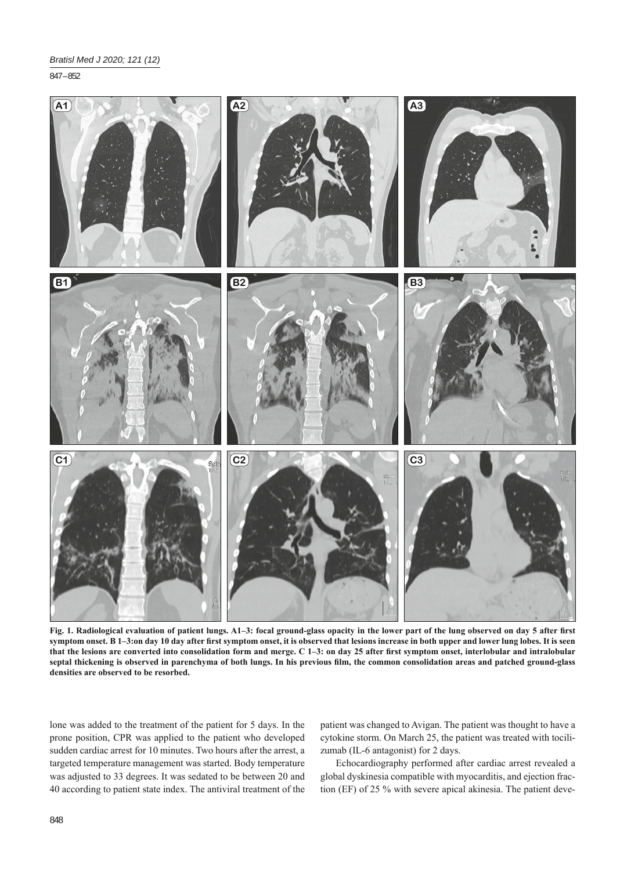847 – 852



Fig. 1. Radiological evaluation of patient lungs. A1-3: focal ground-glass opacity in the lower part of the lung observed on day 5 after first symptom onset. B 1-3:on day 10 day after first symptom onset, it is observed that lesions increase in both upper and lower lung lobes. It is seen that the lesions are converted into consolidation form and merge. C 1–3: on day 25 after first symptom onset, interlobular and intralobular septal thickening is observed in parenchyma of both lungs. In his previous film, the common consolidation areas and patched ground-glass **densities are observed to be resorbed.**

lone was added to the treatment of the patient for 5 days. In the prone position, CPR was applied to the patient who developed sudden cardiac arrest for 10 minutes. Two hours after the arrest, a targeted temperature management was started. Body temperature was adjusted to 33 degrees. It was sedated to be between 20 and 40 according to patient state index. The antiviral treatment of the

patient was changed to Avigan. The patient was thought to have a cytokine storm. On March 25, the patient was treated with tocilizumab (IL-6 antagonist) for 2 days.

Echocardiography performed after cardiac arrest revealed a global dyskinesia compatible with myocarditis, and ejection fraction (EF) of 25 % with severe apical akinesia. The patient deve-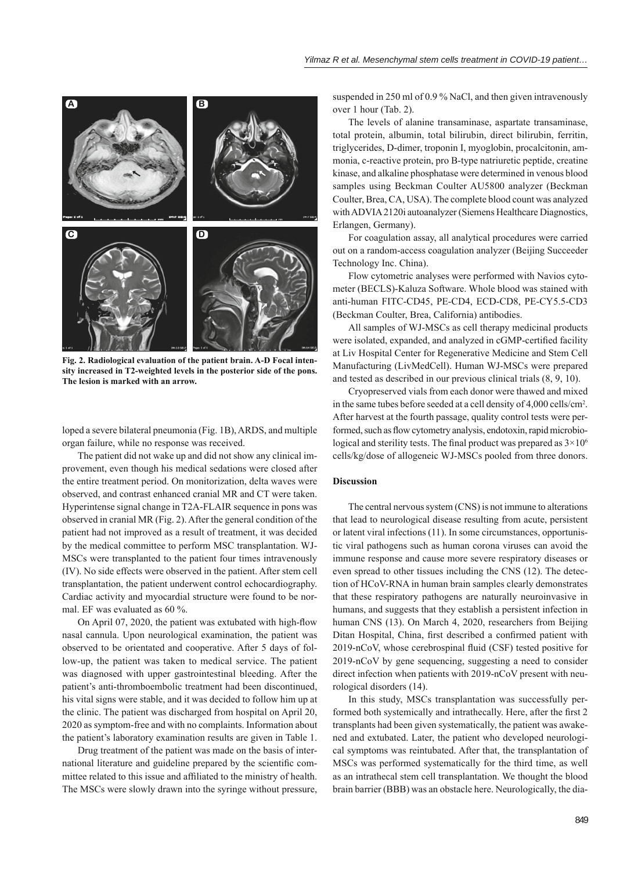

**Fig. 2. Radiological evaluation of the patient brain. A-D Focal intensity increased in T2-weighted levels in the posterior side of the pons. The lesion is marked with an arrow.**

loped a severe bilateral pneumonia (Fig. 1B), ARDS, and multiple organ failure, while no response was received.

The patient did not wake up and did not show any clinical improvement, even though his medical sedations were closed after the entire treatment period. On monitorization, delta waves were observed, and contrast enhanced cranial MR and CT were taken. Hyperintense signal change in T2A-FLAIR sequence in pons was observed in cranial MR (Fig. 2). After the general condition of the patient had not improved as a result of treatment, it was decided by the medical committee to perform MSC transplantation. WJ-MSCs were transplanted to the patient four times intravenously (IV). No side effects were observed in the patient. After stem cell transplantation, the patient underwent control echocardiography. Cardiac activity and myocardial structure were found to be normal. EF was evaluated as 60 %.

On April 07, 2020, the patient was extubated with high-flow nasal cannula. Upon neurological examination, the patient was observed to be orientated and cooperative. After 5 days of follow-up, the patient was taken to medical service. The patient was diagnosed with upper gastrointestinal bleeding. After the patient's anti-thromboembolic treatment had been discontinued, his vital signs were stable, and it was decided to follow him up at the clinic. The patient was discharged from hospital on April 20, 2020 as symptom-free and with no complaints. Information about the patient's laboratory examination results are given in Table 1.

Drug treatment of the patient was made on the basis of international literature and guideline prepared by the scientific committee related to this issue and affiliated to the ministry of health. The MSCs were slowly drawn into the syringe without pressure,

suspended in 250 ml of 0.9 % NaCl, and then given intravenously over 1 hour (Tab. 2).

The levels of alanine transaminase, aspartate transaminase, total protein, albumin, total bilirubin, direct bilirubin, ferritin, triglycerides, D-dimer, troponin I, myoglobin, procalcitonin, ammonia, c-reactive protein, pro B-type natriuretic peptide, creatine kinase, and alkaline phosphatase were determined in venous blood samples using Beckman Coulter AU5800 analyzer (Beckman Coulter, Brea, CA, USA). The complete blood count was analyzed with ADVIA 2120i autoanalyzer (Siemens Healthcare Diagnostics, Erlangen, Germany).

For coagulation assay, all analytical procedures were carried out on a random-access coagulation analyzer (Beijing Succeeder Technology Inc. China).

Flow cytometric analyses were performed with Navios cytometer (BECLS)-Kaluza Software. Whole blood was stained with anti-human FITC-CD45, PE-CD4, ECD-CD8, PE-CY5.5-CD3 (Beckman Coulter, Brea, California) antibodies.

All samples of WJ-MSCs as cell therapy medicinal products were isolated, expanded, and analyzed in cGMP-certified facility at Liv Hospital Center for Regenerative Medicine and Stem Cell Manufacturing (LivMedCell). Human WJ-MSCs were prepared and tested as described in our previous clinical trials (8, 9, 10).

Cryopreserved vials from each donor were thawed and mixed in the same tubes before seeded at a cell density of 4,000 cells/cm2 . After harvest at the fourth passage, quality control tests were performed, such as flow cytometry analysis, endotoxin, rapid microbiological and sterility tests. The final product was prepared as  $3 \times 10^6$ cells/kg/dose of allogeneic WJ-MSCs pooled from three donors.

# **Discussion**

The central nervous system (CNS) is not immune to alterations that lead to neurological disease resulting from acute, persistent or latent viral infections (11). In some circumstances, opportunistic viral pathogens such as human corona viruses can avoid the immune response and cause more severe respiratory diseases or even spread to other tissues including the CNS (12). The detection of HCoV-RNA in human brain samples clearly demonstrates that these respiratory pathogens are naturally neuroinvasive in humans, and suggests that they establish a persistent infection in human CNS (13). On March 4, 2020, researchers from Beijing Ditan Hospital, China, first described a confirmed patient with 2019-nCoV, whose cerebrospinal fluid (CSF) tested positive for 2019-nCoV by gene sequencing, suggesting a need to consider direct infection when patients with 2019-nCoV present with neurological disorders (14).

In this study, MSCs transplantation was successfully performed both systemically and intrathecally. Here, after the first 2 transplants had been given systematically, the patient was awakened and extubated. Later, the patient who developed neurological symptoms was reintubated. After that, the transplantation of MSCs was performed systematically for the third time, as well as an intrathecal stem cell transplantation. We thought the blood brain barrier (BBB) was an obstacle here. Neurologically, the dia-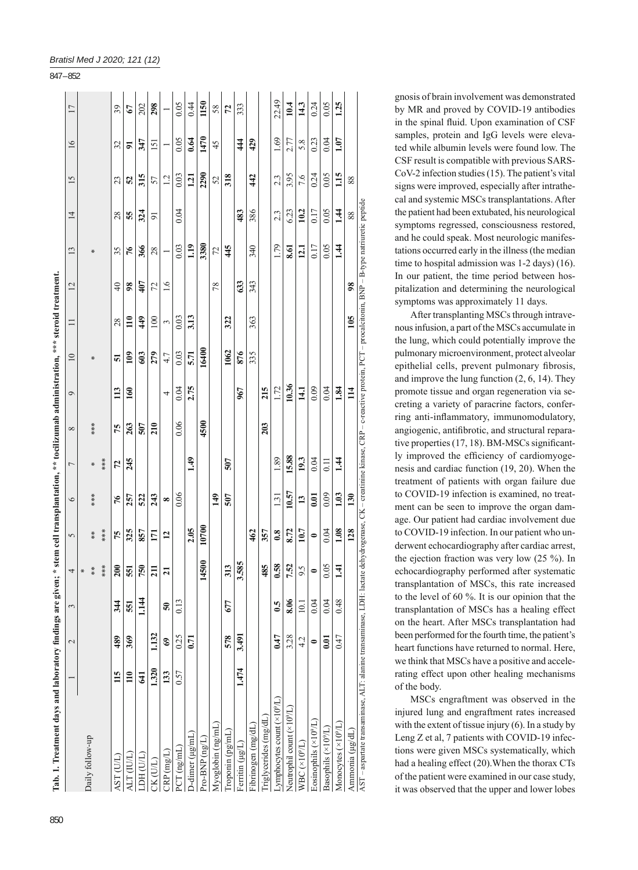| Tab. 1. Treatment days and laboratory findings are given;                                                                                                                                    |                  |                          |                 |           | * stem cell transplantation, ** tocilizumab administration, *** steroid treatment. |               |                |            |                  |                 |                  |                   |      |                |      |                  |       |
|----------------------------------------------------------------------------------------------------------------------------------------------------------------------------------------------|------------------|--------------------------|-----------------|-----------|------------------------------------------------------------------------------------|---------------|----------------|------------|------------------|-----------------|------------------|-------------------|------|----------------|------|------------------|-------|
|                                                                                                                                                                                              |                  | $\overline{\mathcal{C}}$ | 3               | 4         | 5                                                                                  | $\circ$       | $\overline{ }$ | $^{\circ}$ | $\circ$          | $\overline{10}$ | $\Box$           | $\overline{2}$    | 13   | $\overline{1}$ | 15   | 16               | 17    |
|                                                                                                                                                                                              |                  |                          |                 |           |                                                                                    |               |                |            |                  |                 |                  |                   |      |                |      |                  |       |
| Daily follow-up                                                                                                                                                                              |                  |                          |                 |           | $* *$                                                                              |               | ⋇              | ***        |                  |                 |                  |                   | ⋇    |                |      |                  |       |
|                                                                                                                                                                                              |                  |                          |                 | ***       | ***                                                                                |               | ***            |            |                  |                 |                  |                   |      |                |      |                  |       |
| AST (U/L)                                                                                                                                                                                    | 115              | 489                      | 344             | 200       | 75                                                                                 | 76            | 72             | 75         | 113              | 51              | $^{28}$          | $\Theta$          | 35   | 28             | 23   | 32               | 39    |
| ALT (IU/L)                                                                                                                                                                                   | $\overline{110}$ | 369                      | 551             | 551       | 325                                                                                | 257           | 245            | 263        | $\overline{160}$ | 109             | $\overline{110}$ | $\boldsymbol{98}$ | 76   | 55             | 52   | 51               | 67    |
| LDH (U/L)                                                                                                                                                                                    | 541              |                          | 1.144           | 750       | 857                                                                                | 522           |                | 507        |                  | 603             | 449              | 407               | 366  | 324            | 315  | 347              | 202   |
| CK (U/L)                                                                                                                                                                                     | 1.320            | 1.132                    |                 | 211       | $\overline{171}$                                                                   | 243           |                | 210        |                  | 279             | 100              | 72                | 28   | $\overline{5}$ | 57   | $\overline{151}$ | 298   |
| CRP(mg/L)                                                                                                                                                                                    | 133              | S                        | $\overline{50}$ | న         | $\mathbf{r}$                                                                       | ∞             |                |            | 4                | 4.7             | 3                | 1.6               |      |                | 12   |                  |       |
| PCT (ng/mL)                                                                                                                                                                                  | 0.57             | 0.25                     | 0.13            |           |                                                                                    | 0.06          |                | 0.06       | 0.04             | 0.03            | 0.03             |                   | 0.03 | 0.04           | 0.03 | 0.05             | 0.05  |
| $D$ -dimer ( $\mu$ g/mL)                                                                                                                                                                     |                  | 0.71                     |                 |           | 2.05                                                                               |               | 49             |            | 2.75             | 5.71            | 3.13             |                   | 119  |                | 1.21 | 0.64             | 0.44  |
| Pro-BNP (ng/L)                                                                                                                                                                               |                  |                          |                 | 14500     | 10700                                                                              |               |                | 4500       |                  | 16400           |                  |                   | 3380 |                | 2290 | 1470             | 1150  |
| Myoglobin (ng/mL)                                                                                                                                                                            |                  |                          |                 |           |                                                                                    | 149           |                |            |                  |                 |                  | $\frac{8}{2}$     | 72   |                | 52   | 45               | 58    |
| Troponin (pg/mL)                                                                                                                                                                             |                  | 578                      | 677             | 313       |                                                                                    | 507           | 507            |            |                  | 1062            | 322              |                   | 445  |                | 318  |                  | 72    |
| Ferritin (µg/L)                                                                                                                                                                              | 1.474            | 3.491                    |                 | 3.585     |                                                                                    |               |                |            | 967              | 876             |                  | 63                |      | 483            |      | 44               | 333   |
| Fibrinogen (mg/dL)                                                                                                                                                                           |                  |                          |                 |           | 462                                                                                |               |                |            |                  | 335             | 363              | 343               | 340  | 386            | 442  | 429              |       |
| Triglycerides (mg/dL)                                                                                                                                                                        |                  |                          |                 | 485       | 357                                                                                |               |                | 203        | 215              |                 |                  |                   |      |                |      |                  |       |
| Lymphocytes count (×10 <sup>9</sup> /L)                                                                                                                                                      |                  | 0.47                     | 6.5             | 58        | 0.8                                                                                | 1.31          | 1.89           |            | 1.72             |                 |                  |                   | 1.79 | 2.3            | 2.3  | 1.69             | 22.49 |
| Neutrophil count (×10 <sup>9</sup> /L)                                                                                                                                                       |                  | 3.28                     | 8.06            | 7.52      | 8.72                                                                               | 10.57         | 15.88          |            | 10.36            |                 |                  |                   | 8.61 | 6.23           | 3.95 | 2.77             | 10.4  |
| $WBC(x10^9/L)$                                                                                                                                                                               |                  | 4.2                      | 10.1            | Š.<br>਼   | 10.7                                                                               | $\mathbf{13}$ | 19.3           |            | 14.1             |                 |                  |                   | 12.1 | 10.2           | 7.6  | 5.8              | 14.3  |
| Eosinophils $(\times 10^9/L)$                                                                                                                                                                |                  | $\bullet$                | 0.04            | $\bullet$ | $\bullet$                                                                          | 0.01          | 0.04           |            | 0.09             |                 |                  |                   | 0.17 | 0.17           | 0.24 | 0.23             | 0.24  |
| Basophils $(\times 10^{9}/L)$                                                                                                                                                                |                  | 0.01                     | 0.04            | 0.05      | 0.04                                                                               | 0.09          | 0.11           |            | 0.04             |                 |                  |                   | 0.05 | 0.05           | 0.05 | 0.04             | 0.05  |
| Monocytes $(\times 10^{9}/L)$                                                                                                                                                                |                  | 0.47                     | 0.48            | न्        | 1.08                                                                               | 1.03          | 1.44           |            | 1.84             |                 |                  |                   | 1.44 | 1.44           | 1.15 | 1.07             | 1.25  |
| Ammonia (µg/dL)                                                                                                                                                                              |                  |                          |                 |           | 128                                                                                | 130           |                |            | $\overline{14}$  |                 | 105              | $\boldsymbol{98}$ |      | 88             | 88   |                  |       |
| AST – aspartate transaminase, ALT: alanine transaminase, LDH: lactate dehydrogenase, CK – creatinine kinase, CRP – c-reactive protein. PCT – procalcitonin, BNP – B-type natriuretic peptide |                  |                          |                 |           |                                                                                    |               |                |            |                  |                 |                  |                   |      |                |      |                  |       |

| 88                                                           |                               |
|--------------------------------------------------------------|-------------------------------|
|                                                              | ţ                             |
|                                                              | ì                             |
| ֦֧ <u>֚֓</u>                                                 | n marn<br>$\overline{1}$      |
| $\frac{1}{2}$                                                |                               |
|                                                              | stein, PCT – procal           |
| $\frac{4}{4}$<br>֖֖֖֪ׅ֪ׅ֪ׅ֪֪֪ׅ֚֚֚֚֚֚֚֚֚֚֬֝֝֝֝֬֝֝֬֝֬֝֬֝֬֝֬֝֬֝ |                               |
|                                                              | ī<br>$\frac{c}{1}$<br>G<br>C  |
|                                                              |                               |
| ī<br>י<br>י                                                  | $\sim$ - creatin <sup>-</sup> |
|                                                              | ì                             |
| $^{128}$                                                     | )<br>ÿ<br>i                   |
|                                                              |                               |
|                                                              | $-1$                          |
|                                                              | j                             |
|                                                              |                               |
|                                                              | $LT$ : al                     |
|                                                              |                               |
|                                                              |                               |
|                                                              | Ī                             |
|                                                              |                               |

# gnosis of brain involvement was demonstrated by MR and proved by COVID-19 antibodies in the spinal fluid. Upon examination of CSF samples, protein and IgG levels were elevated while albumin levels were found low. The CSF result is compatible with previous SARS-CoV-2 infection studies (15). The patient's vital signs were improved, especially after intrathecal and systemic MSCs transplantations. After the patient had been extubated, his neurological symptoms regressed, consciousness restored, and he could speak. Most neurologic manifestations occurred early in the illness (the median time to hospital admission was 1-2 days) (16). In our patient, the time period between hospitalization and determining the neurological symptoms was approximately 11 days.

After transplanting MSCs through intravenous infusion, a part of the MSCs accumulate in the lung, which could potentially improve the pulmonary microenvironment, protect alveolar epithelial cells, prevent pulmonary fibrosis, and improve the lung function (2, 6, 14). They promote tissue and organ regeneration via secreting a variety of paracrine factors, conferring anti-inflammatory, immunomodulatory, angiogenic, antifibrotic, and structural reparative properties (17, 18). BM-MSCs significantly improved the efficiency of cardiomyogenesis and cardiac function (19, 20). When the treatment of patients with organ failure due to COVID-19 infection is examined, no treatment can be seen to improve the organ damage. Our patient had cardiac involvement due to COVID-19 infection. In our patient who underwent echocardiography after cardiac arrest, the ejection fraction was very low (25 %). In echocardiography performed after systematic transplantation of MSCs, this rate increased to the level of 60 %. It is our opinion that the transplantation of MSCs has a healing effect on the heart. After MSCs transplantation had been performed for the fourth time, the patient's heart functions have returned to normal. Here, we think that MSCs have a positive and accelerating effect upon other healing mechanisms of the body.

MSCs engraftment was observed in the injured lung and engraftment rates increased with the extent of tissue injury (6). In a study by Leng Z et al, 7 patients with COVID-19 infections were given MSCs systematically, which had a healing effect (20).When the thorax CTs of the patient were examined in our case study, it was observed that the upper and lower lobes

# *Bratisl Med J 2020; 121 (12)*

847 – 852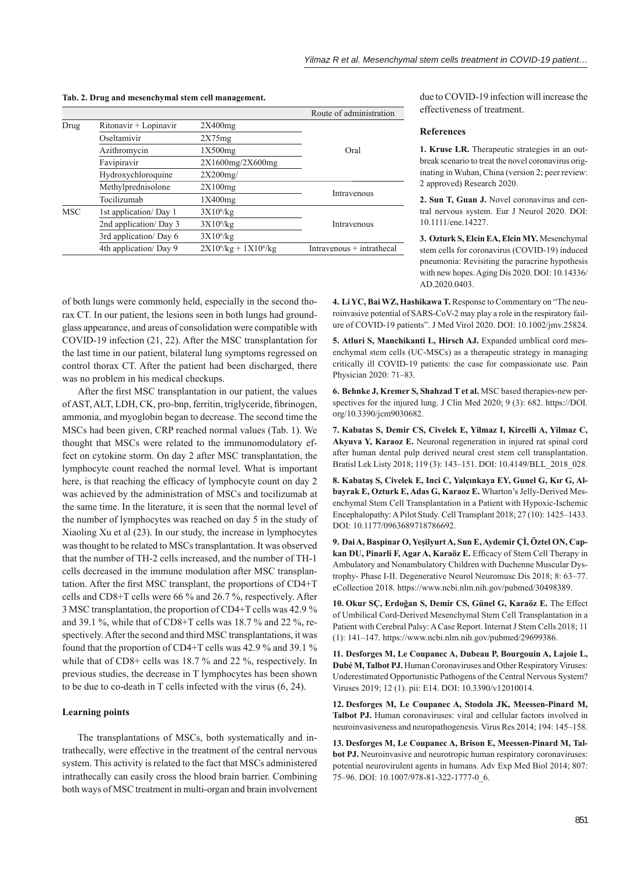**Tab. 2. Drug and mesenchymal stem cell management.**

|            |                        |                             | Route of administration   |
|------------|------------------------|-----------------------------|---------------------------|
| Drug       | Ritonavir + Lopinavir  | 2X400mg                     |                           |
|            | Oseltamivir            | 2X75mg                      |                           |
|            | Azithromycin           | 1X500mg                     | Oral                      |
|            | Favipiravir            | 2X1600mg/2X600mg            |                           |
|            | Hydroxychloroquine     | $2X200$ mg/                 |                           |
|            | Methylprednisolone     | 2X100mg                     |                           |
|            | Tocilizumab            | 1X400mg                     | Intravenous               |
| <b>MSC</b> | 1st application/Day 1  | $3X10^6$ /kg                |                           |
|            | 2nd application/ Day 3 | $3X10^6$ /kg                | Intravenous               |
|            | 3rd application/Day 6  | $3X10^6$ /kg                |                           |
|            | 4th application/Day 9  | $2X10^6$ /kg + $1X10^6$ /kg | Intravenous + intrathecal |
|            |                        |                             |                           |

due to COVID-19 infection will increase the effectiveness of treatment.

## **References**

**1. Kruse LR.** Therapeutic strategies in an outbreak scenario to treat the novel coronavirus originating in Wuhan, China (version 2; peer review: 2 approved) Research 2020.

**2. Sun T, Guan J.** Novel coronavirus and central nervous system. Eur J Neurol 2020. DOI: 10.1111/ene.14227.

**3. Ozturk S, Elcin EA, Elcin MY.** Mesenchymal stem cells for coronavirus (COVID-19) induced pneumonia: Revisiting the paracrine hypothesis with new hopes. Aging Dis 2020. DOI: 10.14336/ AD.2020.0403.

of both lungs were commonly held, especially in the second thorax CT. In our patient, the lesions seen in both lungs had groundglass appearance, and areas of consolidation were compatible with COVID-19 infection (21, 22). After the MSC transplantation for the last time in our patient, bilateral lung symptoms regressed on control thorax CT. After the patient had been discharged, there was no problem in his medical checkups.

After the first MSC transplantation in our patient, the values of AST, ALT, LDH, CK, pro-bnp, ferritin, triglyceride, fibrinogen, ammonia, and myoglobin began to decrease. The second time the MSCs had been given, CRP reached normal values (Tab. 1). We thought that MSCs were related to the immunomodulatory effect on cytokine storm. On day 2 after MSC transplantation, the lymphocyte count reached the normal level. What is important here, is that reaching the efficacy of lymphocyte count on day 2 was achieved by the administration of MSCs and tocilizumab at the same time. In the literature, it is seen that the normal level of the number of lymphocytes was reached on day 5 in the study of Xiaoling Xu et al (23). In our study, the increase in lymphocytes was thought to be related to MSCs transplantation. It was observed that the number of TH-2 cells increased, and the number of TH-1 cells decreased in the immune modulation after MSC transplantation. After the first MSC transplant, the proportions of CD4+T cells and CD8+T cells were 66 % and 26.7 %, respectively. After 3 MSC transplantation, the proportion of CD4+T cells was 42.9 % and 39.1 %, while that of CD8+T cells was 18.7 % and 22 %, respectively. After the second and third MSC transplantations, it was found that the proportion of CD4+T cells was 42.9 % and 39.1 % while that of CD8+ cells was 18.7 % and 22 %, respectively. In previous studies, the decrease in T lymphocytes has been shown to be due to co-death in T cells infected with the virus (6, 24).

## **Learning points**

The transplantations of MSCs, both systematically and intrathecally, were effective in the treatment of the central nervous system. This activity is related to the fact that MSCs administered intrathecally can easily cross the blood brain barrier. Combining both ways of MSC treatment in multi-organ and brain involvement

**4. Li YC, Bai WZ, Hashikawa T.** Response to Commentary on "The neuroinvasive potential of SARS-CoV-2 may play a role in the respiratory failure of COVID-19 patients". J Med Virol 2020. DOI: 10.1002/jmv.25824.

**5. Atluri S, Manchikanti L, Hirsch AJ.** Expanded umblical cord mesenchymal stem cells (UC-MSCs) as a therapeutic strategy in managing critically ill COVID-19 patients: the case for compassionate use. Pain Physician 2020: 71‒83.

**6. Behnke J, Kremer S, Shahzad T et al.** MSC based therapies-new perspectives for the injured lung. J Clin Med 2020; 9 (3): 682. https://DOI. org/10.3390/jcm9030682.

**7. Kabatas S, Demir CS, Civelek E, Yilmaz I, Kircelli A, Yilmaz C, Akyuva Y, Karaoz E.** Neuronal regeneration in injured rat spinal cord after human dental pulp derived neural crest stem cell transplantation. Bratisl Lek Listy 2018; 119 (3): 143-151. DOI: 10.4149/BLL 2018 028.

**8. Kabataş S, Civelek E, Inci C, Yalçınkaya EY, Gunel G, Kır G, Albayrak E, Ozturk E, Adas G, Karaoz E.** Wharton's Jelly-Derived Mesenchymal Stem Cell Transplantation in a Patient with Hypoxic-Ischemic Encephalopathy: A Pilot Study. Cell Transplant 2018; 27 (10): 1425-1433. DOI: 10.1177/0963689718786692.

**9. Dai A, Baspinar O, Yeşilyurt A, Sun E, Aydemir Çİ, Öztel ON, Cap**kan DU, Pinarli F, Agar A, Karaöz E. Efficacy of Stem Cell Therapy in Ambulatory and Nonambulatory Children with Duchenne Muscular Dystrophy- Phase I-II. Degenerative Neurol Neuromusc Dis 2018; 8: 63–77. eCollection 2018. https://www.ncbi.nlm.nih.gov/pubmed/30498389.

**10. Okur SÇ, Erdoğan S, Demir CS, Günel G, Karaöz E.** The Effect of Umbilical Cord-Derived Mesenchymal Stem Cell Transplantation in a Patient with Cerebral Palsy: A Case Report. Internat J Stem Cells 2018; 11 (1): 141‒147. https://www.ncbi.nlm.nih.gov/pubmed/29699386.

**11. Desforges M, Le Coupanec A, Dubeau P, Bourgouin A, Lajoie L, Dubé M, Talbot PJ.** Human Coronaviruses and Other Respiratory Viruses: Underestimated Opportunistic Pathogens of the Central Nervous System? Viruses 2019; 12 (1). pii: E14. DOI: 10.3390/v12010014.

**12. Desforges M, Le Coupanec A, Stodola JK, Meessen-Pinard M, Talbot PJ.** Human coronaviruses: viral and cellular factors involved in neuroinvasiveness and neuropathogenesis. Virus Res 2014; 194: 145–158.

**13. Desforges M, Le Coupanec A, Brison E, Meessen-Pinard M, Talbot PJ.** Neuroinvasive and neurotropic human respiratory coronaviruses: potential neurovirulent agents in humans. Adv Exp Med Biol 2014; 807: 75‒96. DOI: 10.1007/978-81-322-1777-0\_6.